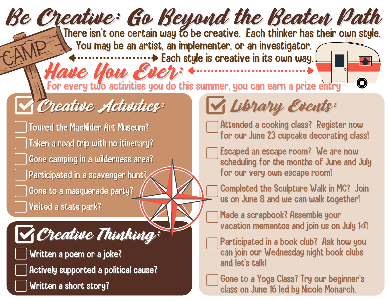## Be Creative: Go Beyond the Beaten Path Creative Activities: Toured the MacNider Art Museum? Taken a road trip with no itinerary? Gone camping in a wilderness area? Participated in a scavenger hunt? Gone to a masquerade party? Visited a state park? Attended a cooking class? Register now for our June 23 cupcake decorating class! Escaped an escape room? We are now scheduling for the months of June and July for our very own escape room! Completed the Sculpture Walk in MC? Join us on June 8 and we can walk together! Made a scrapbook? Assemble your vacation mementos and join us on July 1*4*! Participated in a book club? Ask how you can join our Wednesday night book clubs and let's talk! Gone to a Yoga Class? Try our beginner's class on June 16 led by Nicole Monarch. **V Creative Thinking:** Written a poem or a joke? Actively supported a political cause? Written a short story? Have You Ever: There isn't one certain way to be creative. Each thinker has their own style. You may be an artist, an implementer, or an investigator. **Each style is creative in its own way. M** Library Events: For every two activities you do this summer, you can earn a prize entry